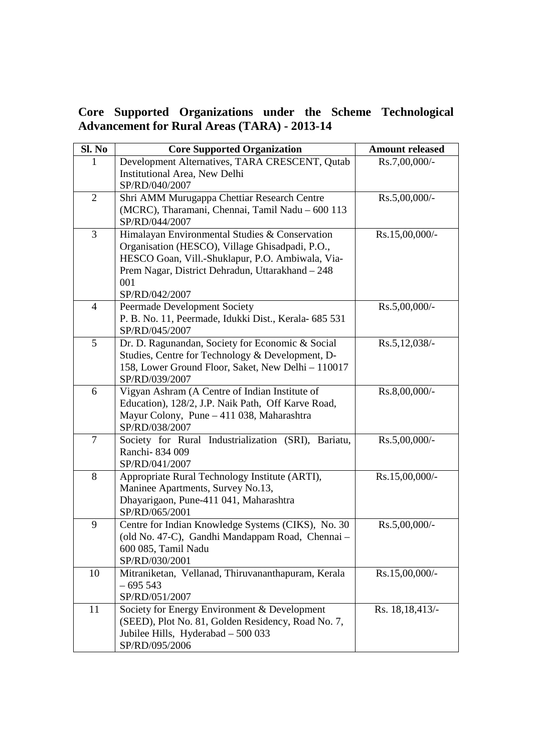**Core Supported Organizations under the Scheme Technological Advancement for Rural Areas (TARA) - 2013-14**

| <b>Sl. No</b>  | <b>Core Supported Organization</b>                                                    | <b>Amount released</b> |
|----------------|---------------------------------------------------------------------------------------|------------------------|
| 1              | Development Alternatives, TARA CRESCENT, Qutab                                        | Rs.7,00,000/-          |
|                | Institutional Area, New Delhi                                                         |                        |
|                | SP/RD/040/2007                                                                        |                        |
| $\overline{2}$ | Shri AMM Murugappa Chettiar Research Centre                                           | $Rs.5,00,000/$ -       |
|                | (MCRC), Tharamani, Chennai, Tamil Nadu - 600 113                                      |                        |
|                | SP/RD/044/2007                                                                        |                        |
| 3              | Himalayan Environmental Studies & Conservation                                        | Rs.15,00,000/-         |
|                | Organisation (HESCO), Village Ghisadpadi, P.O.,                                       |                        |
|                | HESCO Goan, Vill.-Shuklapur, P.O. Ambiwala, Via-                                      |                        |
|                | Prem Nagar, District Dehradun, Uttarakhand - 248                                      |                        |
|                | 001                                                                                   |                        |
| $\overline{4}$ | SP/RD/042/2007                                                                        | Rs.5,00,000/-          |
|                | Peermade Development Society<br>P. B. No. 11, Peermade, Idukki Dist., Kerala- 685 531 |                        |
|                | SP/RD/045/2007                                                                        |                        |
| 5              | Dr. D. Ragunandan, Society for Economic & Social                                      | Rs.5,12,038/-          |
|                | Studies, Centre for Technology & Development, D-                                      |                        |
|                | 158, Lower Ground Floor, Saket, New Delhi - 110017                                    |                        |
|                | SP/RD/039/2007                                                                        |                        |
| 6              | Vigyan Ashram (A Centre of Indian Institute of                                        | Rs.8,00,000/-          |
|                | Education), 128/2, J.P. Naik Path, Off Karve Road,                                    |                        |
|                | Mayur Colony, Pune - 411 038, Maharashtra                                             |                        |
|                | SP/RD/038/2007                                                                        |                        |
| $\overline{7}$ | Society for Rural Industrialization (SRI), Bariatu,                                   | Rs.5,00,000/-          |
|                | Ranchi-834 009                                                                        |                        |
|                | SP/RD/041/2007                                                                        |                        |
| 8              | Appropriate Rural Technology Institute (ARTI),                                        | $Rs.15,00,000/-$       |
|                | Maninee Apartments, Survey No.13,                                                     |                        |
|                | Dhayarigaon, Pune-411 041, Maharashtra                                                |                        |
|                | SP/RD/065/2001                                                                        |                        |
| 9              | Centre for Indian Knowledge Systems (CIKS), No. 30                                    | $Rs.5,00,000/$ -       |
|                | (old No. 47-C), Gandhi Mandappam Road, Chennai -                                      |                        |
|                | 600 085, Tamil Nadu                                                                   |                        |
|                | SP/RD/030/2001                                                                        |                        |
| 10             | Mitraniketan, Vellanad, Thiruvananthapuram, Kerala                                    | Rs.15,00,000/-         |
|                | $-695543$<br>SP/RD/051/2007                                                           |                        |
| 11             | Society for Energy Environment & Development                                          | Rs. 18, 18, 413/-      |
|                | (SEED), Plot No. 81, Golden Residency, Road No. 7,                                    |                        |
|                | Jubilee Hills, Hyderabad - 500 033                                                    |                        |
|                | SP/RD/095/2006                                                                        |                        |